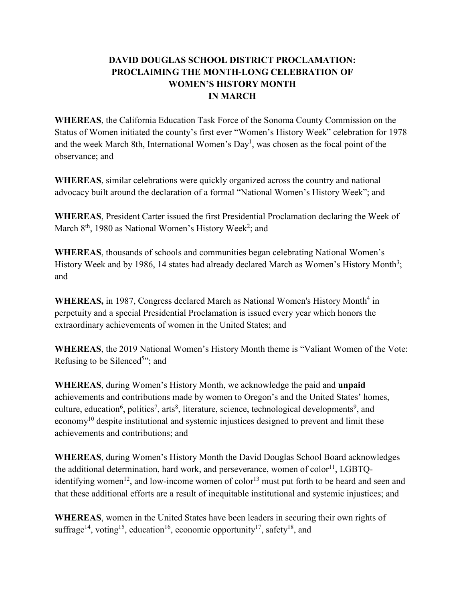## **DAVID DOUGLAS SCHOOL DISTRICT PROCLAMATION: PROCLAIMING THE MONTH-LONG CELEBRATION OF WOMEN'S HISTORY MONTH IN MARCH**

**WHEREAS**, the California Education Task Force of the Sonoma County Commission on the Status of Women initiated the county's first ever "Women's History Week" celebration for 1978 and the week March 8th, International Women's  $Day<sup>1</sup>$ , was chosen as the focal point of the observance; and

**WHEREAS**, similar celebrations were quickly organized across the country and national advocacy built around the declaration of a formal "National Women's History Week"; and

**WHEREAS**, President Carter issued the first Presidential Proclamation declaring the Week of March 8<sup>th</sup>, 1980 as National Women's History Week<sup>2</sup>; and

**WHEREAS**, thousands of schools and communities began celebrating National Women's History Week and by 1986, 14 states had already declared March as Women's History Month<sup>3</sup>; and

**WHEREAS,** in 1987, Congress declared March as National Women's History Month<sup>4</sup> in perpetuity and a special Presidential Proclamation is issued every year which honors the extraordinary achievements of women in the United States; and

**WHEREAS**, the 2019 National Women's History Month theme is "Valiant Women of the Vote: Refusing to be Silenced<sup>5</sup>"; and

**WHEREAS**, during Women's History Month, we acknowledge the paid and **unpaid** achievements and contributions made by women to Oregon's and the United States' homes, culture, education<sup>6</sup>, politics<sup>7</sup>, arts<sup>8</sup>, literature, science, technological developments<sup>9</sup>, and economy<sup>10</sup> despite institutional and systemic injustices designed to prevent and limit these achievements and contributions; and

**WHEREAS**, during Women's History Month the David Douglas School Board acknowledges the additional determination, hard work, and perseverance, women of  $color<sup>11</sup>$ , LGBTQidentifying women<sup>12</sup>, and low-income women of color<sup>13</sup> must put forth to be heard and seen and that these additional efforts are a result of inequitable institutional and systemic injustices; and

**WHEREAS**, women in the United States have been leaders in securing their own rights of suffrage<sup>14</sup>, voting<sup>15</sup>, education<sup>16</sup>, economic opportunity<sup>17</sup>, safety<sup>18</sup>, and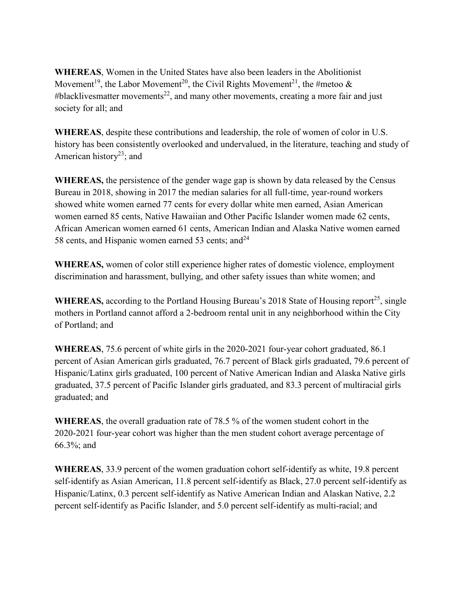**WHEREAS**, Women in the United States have also been leaders in the Abolitionist Movement<sup>19</sup>, the Labor Movement<sup>20</sup>, the Civil Rights Movement<sup>21</sup>, the #metoo & #blacklivesmatter movements<sup>22</sup>, and many other movements, creating a more fair and just society for all; and

**WHEREAS**, despite these contributions and leadership, the role of women of color in U.S. history has been consistently overlooked and undervalued, in the literature, teaching and study of American history<sup>23</sup>; and

**WHEREAS,** the persistence of the gender wage gap is shown by data released by the Census Bureau in 2018, showing in 2017 the median salaries for all full-time, year-round workers showed white women earned 77 cents for every dollar white men earned, Asian American women earned 85 cents, Native Hawaiian and Other Pacific Islander women made 62 cents, African American women earned 61 cents, American Indian and Alaska Native women earned 58 cents, and Hispanic women earned 53 cents; and  $24$ 

**WHEREAS,** women of color still experience higher rates of domestic violence, employment discrimination and harassment, bullying, and other safety issues than white women; and

**WHEREAS,** according to the Portland Housing Bureau's 2018 State of Housing report<sup>25</sup>, single mothers in Portland cannot afford a 2-bedroom rental unit in any neighborhood within the City of Portland; and

**WHEREAS**, 75.6 percent of white girls in the 2020-2021 four-year cohort graduated, 86.1 percent of Asian American girls graduated, 76.7 percent of Black girls graduated, 79.6 percent of Hispanic/Latinx girls graduated, 100 percent of Native American Indian and Alaska Native girls graduated, 37.5 percent of Pacific Islander girls graduated, and 83.3 percent of multiracial girls graduated; and

**WHEREAS**, the overall graduation rate of 78.5 % of the women student cohort in the 2020-2021 four-year cohort was higher than the men student cohort average percentage of 66.3%; and

**WHEREAS**, 33.9 percent of the women graduation cohort self-identify as white, 19.8 percent self-identify as Asian American, 11.8 percent self-identify as Black, 27.0 percent self-identify as Hispanic/Latinx, 0.3 percent self-identify as Native American Indian and Alaskan Native, 2.2 percent self-identify as Pacific Islander, and 5.0 percent self-identify as multi-racial; and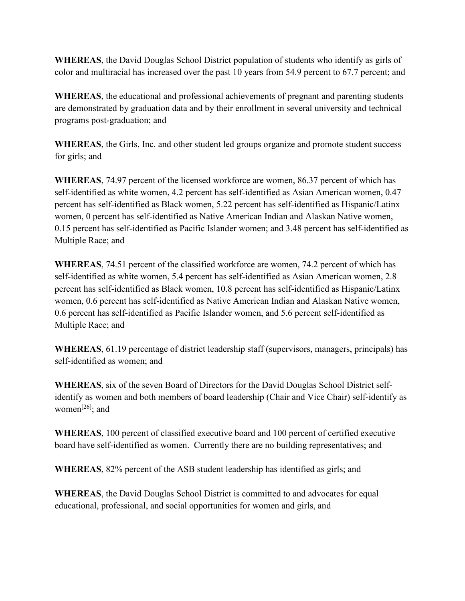**WHEREAS**, the David Douglas School District population of students who identify as girls of color and multiracial has increased over the past 10 years from 54.9 percent to 67.7 percent; and

**WHEREAS**, the educational and professional achievements of pregnant and parenting students are demonstrated by graduation data and by their enrollment in several university and technical programs post-graduation; and

**WHEREAS**, the Girls, Inc. and other student led groups organize and promote student success for girls; and

**WHEREAS**, 74.97 percent of the licensed workforce are women, 86.37 percent of which has self-identified as white women, 4.2 percent has self-identified as Asian American women, 0.47 percent has self-identified as Black women, 5.22 percent has self-identified as Hispanic/Latinx women, 0 percent has self-identified as Native American Indian and Alaskan Native women, 0.15 percent has self-identified as Pacific Islander women; and 3.48 percent has self-identified as Multiple Race; and

**WHEREAS**, 74.51 percent of the classified workforce are women, 74.2 percent of which has self-identified as white women, 5.4 percent has self-identified as Asian American women, 2.8 percent has self-identified as Black women, 10.8 percent has self-identified as Hispanic/Latinx women, 0.6 percent has self-identified as Native American Indian and Alaskan Native women, 0.6 percent has self-identified as Pacific Islander women, and 5.6 percent self-identified as Multiple Race; and

**WHEREAS**, 61.19 percentage of district leadership staff (supervisors, managers, principals) has self-identified as women; and

**WHEREAS**, six of the seven Board of Directors for the David Douglas School District selfidentify as women and both members of board leadership (Chair and Vice Chair) self-identify as women<sup>[26]</sup>; and

**WHEREAS**, 100 percent of classified executive board and 100 percent of certified executive board have self-identified as women. Currently there are no building representatives; and

**WHEREAS**, 82% percent of the ASB student leadership has identified as girls; and

**WHEREAS**, the David Douglas School District is committed to and advocates for equal educational, professional, and social opportunities for women and girls, and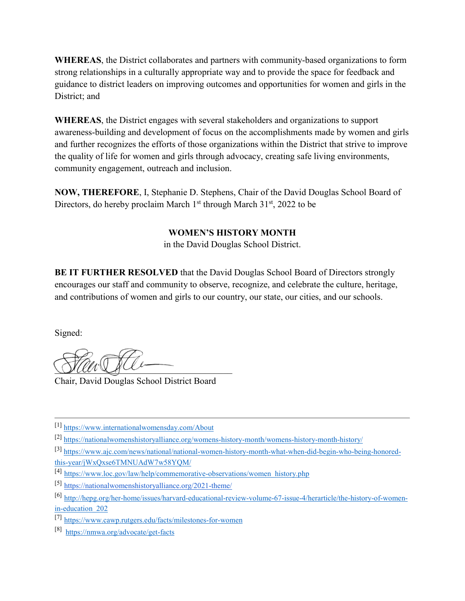**WHEREAS**, the District collaborates and partners with community-based organizations to form strong relationships in a culturally appropriate way and to provide the space for feedback and guidance to district leaders on improving outcomes and opportunities for women and girls in the District; and

**WHEREAS**, the District engages with several stakeholders and organizations to support awareness-building and development of focus on the accomplishments made by women and girls and further recognizes the efforts of those organizations within the District that strive to improve the quality of life for women and girls through advocacy, creating safe living environments, community engagement, outreach and inclusion.

**NOW, THEREFORE**, I, Stephanie D. Stephens, Chair of the David Douglas School Board of Directors, do hereby proclaim March  $1<sup>st</sup>$  through March  $31<sup>st</sup>$ , 2022 to be

## **WOMEN'S HISTORY MONTH**

in the David Douglas School District.

**BE IT FURTHER RESOLVED** that the David Douglas School Board of Directors strongly encourages our staff and community to observe, recognize, and celebrate the culture, heritage, and contributions of women and girls to our country, our state, our cities, and our schools.

Signed:

 $\overline{\phantom{a}}$  $\mathcal{Q}(\mathcal{U}\mathcal{U})=\mathcal{Q}(\mathcal{U})$ 

Chair, David Douglas School District Board

- [3] [https://www.ajc.com/news/national/national-women-history-month-what-when-did-begin-who-being-honored](https://www.ajc.com/news/national/national-women-history-month-what-when-did-begin-who-being-honored-this-year/jWxQxse6TMNUAdW7w58YQM/)[this-year/jWxQxse6TMNUAdW7w58YQM/](https://www.ajc.com/news/national/national-women-history-month-what-when-did-begin-who-being-honored-this-year/jWxQxse6TMNUAdW7w58YQM/)
- [4] [https://www.loc.gov/law/help/commemorative-observations/women\\_history.php](https://www.loc.gov/law/help/commemorative-observations/women_history.php)
- [5] <https://nationalwomenshistoryalliance.org/2021-theme/>
- [6] [http://hepg.org/her-home/issues/harvard-educational-review-volume-67-issue-4/herarticle/the-history-of-women](http://hepg.org/her-home/issues/harvard-educational-review-volume-67-issue-4/herarticle/the-history-of-women-in-education_202)[in-education\\_202](http://hepg.org/her-home/issues/harvard-educational-review-volume-67-issue-4/herarticle/the-history-of-women-in-education_202)
- [7] <https://www.cawp.rutgers.edu/facts/milestones-for-women>
- [8[\]](https://www.cawp.rutgers.edu/facts/milestones-for-women) <https://nmwa.org/advocate/get-facts>

<sup>[1]</sup> <https://www.internationalwomensday.com/About>

<sup>[2]</sup> <https://nationalwomenshistoryalliance.org/womens-history-month/womens-history-month-history/>